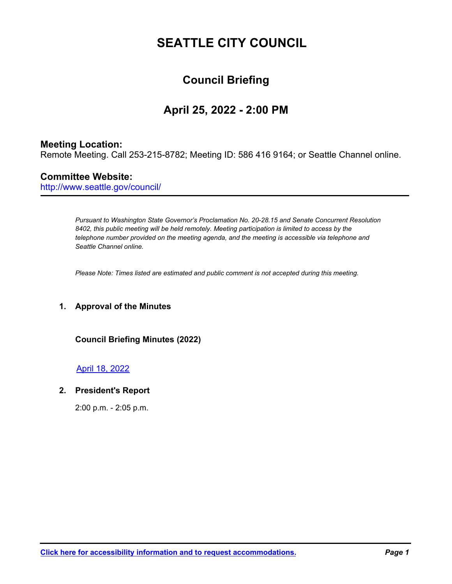# **SEATTLE CITY COUNCIL**

## **Council Briefing**

## **April 25, 2022 - 2:00 PM**

## **Meeting Location:**

Remote Meeting. Call 253-215-8782; Meeting ID: 586 416 9164; or Seattle Channel online.

## **Committee Website:**

http://www.seattle.gov/council/

*Pursuant to Washington State Governor's Proclamation No. 20-28.15 and Senate Concurrent Resolution 8402, this public meeting will be held remotely. Meeting participation is limited to access by the telephone number provided on the meeting agenda, and the meeting is accessible via telephone and Seattle Channel online.* 

*Please Note: Times listed are estimated and public comment is not accepted during this meeting.*

### **1. Approval of the Minutes**

#### **Council Briefing Minutes (2022)**

#### [April 18, 2022](http://seattle.legistar.com/gateway.aspx?M=F&ID=46eb0a00-bc27-4728-84b1-39d9f2108a2d.pdf)

#### **2. President's Report**

2:00 p.m. - 2:05 p.m.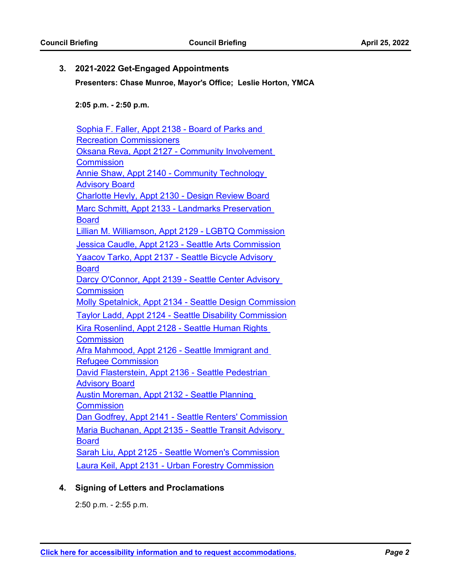#### **3. 2021-2022 Get-Engaged Appointments**

**Presenters: Chase Munroe, Mayor's Office; Leslie Horton, YMCA**

**2:05 p.m. - 2:50 p.m.** 

| Sophia F. Faller, Appt 2138 - Board of Parks and                                |
|---------------------------------------------------------------------------------|
| <b>Recreation Commissioners</b>                                                 |
| Oksana Reva, Appt 2127 - Community Involvement                                  |
| <b>Commission</b>                                                               |
| <b>Annie Shaw, Appt 2140 - Community Technology</b>                             |
| <b>Advisory Board</b>                                                           |
| Charlotte Hevly, Appt 2130 - Design Review Board                                |
| Marc Schmitt, Appt 2133 - Landmarks Preservation<br><b>Board</b>                |
| Lillian M. Williamson, Appt 2129 - LGBTQ Commission                             |
| Jessica Caudle, Appt 2123 - Seattle Arts Commission                             |
| <u> Yaacov Tarko, Appt 2137 - Seattle Bicycle Advisory </u><br><b>Board</b>     |
| Darcy O'Connor, Appt 2139 - Seattle Center Advisory                             |
| <b>Commission</b>                                                               |
| <b>Molly Spetalnick, Appt 2134 - Seattle Design Commission</b>                  |
| <b>Taylor Ladd, Appt 2124 - Seattle Disability Commission</b>                   |
| Kira Rosenlind, Appt 2128 - Seattle Human Rights                                |
| <b>Commission</b>                                                               |
| Afra Mahmood, Appt 2126 - Seattle Immigrant and                                 |
| <b>Refugee Commission</b><br>David Flasterstein, Appt 2136 - Seattle Pedestrian |
| <b>Advisory Board</b>                                                           |
| <b>Austin Moreman, Appt 2132 - Seattle Planning</b>                             |
| <b>Commission</b>                                                               |
| Dan Godfrey, Appt 2141 - Seattle Renters' Commission                            |
| Maria Buchanan, Appt 2135 - Seattle Transit Advisory<br><b>Board</b>            |
| Sarah Liu, Appt 2125 - Seattle Women's Commission                               |
| <b>Laura Keil, Appt 2131 - Urban Forestry Commission</b>                        |

## **4. Signing of Letters and Proclamations**

2:50 p.m. - 2:55 p.m.